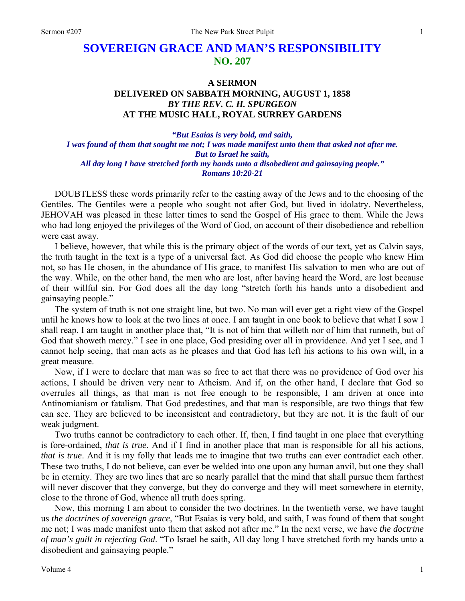## **SOVEREIGN GRACE AND MAN'S RESPONSIBILITY NO. 207**

## **A SERMON DELIVERED ON SABBATH MORNING, AUGUST 1, 1858**  *BY THE REV. C. H. SPURGEON*  **AT THE MUSIC HALL, ROYAL SURREY GARDENS**

*"But Esaias is very bold, and saith, I was found of them that sought me not; I was made manifest unto them that asked not after me. But to Israel he saith, All day long I have stretched forth my hands unto a disobedient and gainsaying people." Romans 10:20-21* 

DOUBTLESS these words primarily refer to the casting away of the Jews and to the choosing of the Gentiles. The Gentiles were a people who sought not after God, but lived in idolatry. Nevertheless, JEHOVAH was pleased in these latter times to send the Gospel of His grace to them. While the Jews who had long enjoyed the privileges of the Word of God, on account of their disobedience and rebellion were cast away.

I believe, however, that while this is the primary object of the words of our text, yet as Calvin says, the truth taught in the text is a type of a universal fact. As God did choose the people who knew Him not, so has He chosen, in the abundance of His grace, to manifest His salvation to men who are out of the way. While, on the other hand, the men who are lost, after having heard the Word, are lost because of their willful sin. For God does all the day long "stretch forth his hands unto a disobedient and gainsaying people."

The system of truth is not one straight line, but two. No man will ever get a right view of the Gospel until he knows how to look at the two lines at once. I am taught in one book to believe that what I sow I shall reap. I am taught in another place that, "It is not of him that willeth nor of him that runneth, but of God that showeth mercy." I see in one place, God presiding over all in providence. And yet I see, and I cannot help seeing, that man acts as he pleases and that God has left his actions to his own will, in a great measure.

Now, if I were to declare that man was so free to act that there was no providence of God over his actions, I should be driven very near to Atheism. And if, on the other hand, I declare that God so overrules all things, as that man is not free enough to be responsible, I am driven at once into Antinomianism or fatalism. That God predestines, and that man is responsible, are two things that few can see. They are believed to be inconsistent and contradictory, but they are not. It is the fault of our weak judgment.

Two truths cannot be contradictory to each other. If, then, I find taught in one place that everything is fore-ordained, *that is true*. And if I find in another place that man is responsible for all his actions, *that is true*. And it is my folly that leads me to imagine that two truths can ever contradict each other. These two truths, I do not believe, can ever be welded into one upon any human anvil, but one they shall be in eternity. They are two lines that are so nearly parallel that the mind that shall pursue them farthest will never discover that they converge, but they do converge and they will meet somewhere in eternity, close to the throne of God, whence all truth does spring.

Now, this morning I am about to consider the two doctrines. In the twentieth verse, we have taught us *the doctrines of sovereign grace*, "But Esaias is very bold, and saith, I was found of them that sought me not; I was made manifest unto them that asked not after me." In the next verse, we have *the doctrine of man's guilt in rejecting God*. "To Israel he saith, All day long I have stretched forth my hands unto a disobedient and gainsaying people."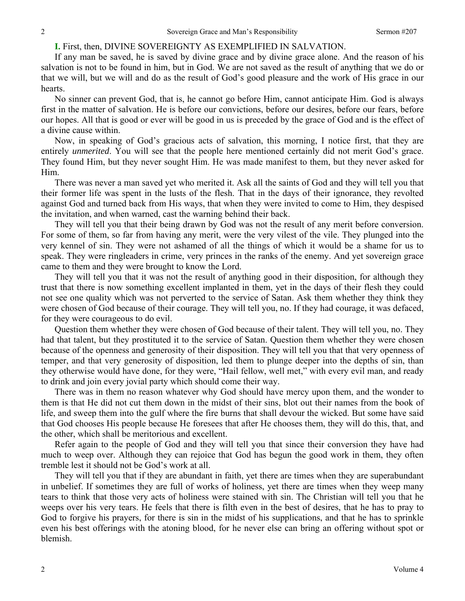## **I.** First, then, DIVINE SOVEREIGNTY AS EXEMPLIFIED IN SALVATION.

If any man be saved, he is saved by divine grace and by divine grace alone. And the reason of his salvation is not to be found in him, but in God. We are not saved as the result of anything that we do or that we will, but we will and do as the result of God's good pleasure and the work of His grace in our hearts.

No sinner can prevent God, that is, he cannot go before Him, cannot anticipate Him. God is always first in the matter of salvation. He is before our convictions, before our desires, before our fears, before our hopes. All that is good or ever will be good in us is preceded by the grace of God and is the effect of a divine cause within.

Now, in speaking of God's gracious acts of salvation, this morning, I notice first, that they are entirely *unmerited*. You will see that the people here mentioned certainly did not merit God's grace. They found Him, but they never sought Him. He was made manifest to them, but they never asked for Him.

There was never a man saved yet who merited it. Ask all the saints of God and they will tell you that their former life was spent in the lusts of the flesh. That in the days of their ignorance, they revolted against God and turned back from His ways, that when they were invited to come to Him, they despised the invitation, and when warned, cast the warning behind their back.

They will tell you that their being drawn by God was not the result of any merit before conversion. For some of them, so far from having any merit, were the very vilest of the vile. They plunged into the very kennel of sin. They were not ashamed of all the things of which it would be a shame for us to speak. They were ringleaders in crime, very princes in the ranks of the enemy. And yet sovereign grace came to them and they were brought to know the Lord.

They will tell you that it was not the result of anything good in their disposition, for although they trust that there is now something excellent implanted in them, yet in the days of their flesh they could not see one quality which was not perverted to the service of Satan. Ask them whether they think they were chosen of God because of their courage. They will tell you, no. If they had courage, it was defaced, for they were courageous to do evil.

Question them whether they were chosen of God because of their talent. They will tell you, no. They had that talent, but they prostituted it to the service of Satan. Question them whether they were chosen because of the openness and generosity of their disposition. They will tell you that that very openness of temper, and that very generosity of disposition, led them to plunge deeper into the depths of sin, than they otherwise would have done, for they were, "Hail fellow, well met," with every evil man, and ready to drink and join every jovial party which should come their way.

There was in them no reason whatever why God should have mercy upon them, and the wonder to them is that He did not cut them down in the midst of their sins, blot out their names from the book of life, and sweep them into the gulf where the fire burns that shall devour the wicked. But some have said that God chooses His people because He foresees that after He chooses them, they will do this, that, and the other, which shall be meritorious and excellent.

Refer again to the people of God and they will tell you that since their conversion they have had much to weep over. Although they can rejoice that God has begun the good work in them, they often tremble lest it should not be God's work at all.

They will tell you that if they are abundant in faith, yet there are times when they are superabundant in unbelief. If sometimes they are full of works of holiness, yet there are times when they weep many tears to think that those very acts of holiness were stained with sin. The Christian will tell you that he weeps over his very tears. He feels that there is filth even in the best of desires, that he has to pray to God to forgive his prayers, for there is sin in the midst of his supplications, and that he has to sprinkle even his best offerings with the atoning blood, for he never else can bring an offering without spot or blemish.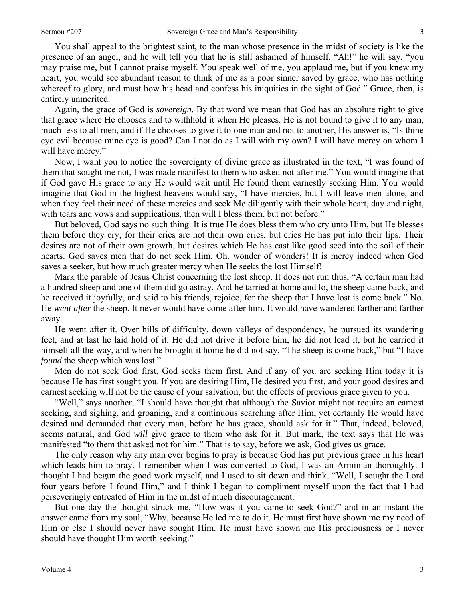You shall appeal to the brightest saint, to the man whose presence in the midst of society is like the presence of an angel, and he will tell you that he is still ashamed of himself. "Ah!" he will say, "you may praise me, but I cannot praise myself. You speak well of me, you applaud me, but if you knew my heart, you would see abundant reason to think of me as a poor sinner saved by grace, who has nothing whereof to glory, and must bow his head and confess his iniquities in the sight of God." Grace, then, is entirely unmerited.

Again, the grace of God is *sovereign*. By that word we mean that God has an absolute right to give that grace where He chooses and to withhold it when He pleases. He is not bound to give it to any man, much less to all men, and if He chooses to give it to one man and not to another, His answer is, "Is thine eye evil because mine eye is good? Can I not do as I will with my own? I will have mercy on whom I will have mercy."

Now, I want you to notice the sovereignty of divine grace as illustrated in the text, "I was found of them that sought me not, I was made manifest to them who asked not after me." You would imagine that if God gave His grace to any He would wait until He found them earnestly seeking Him. You would imagine that God in the highest heavens would say, "I have mercies, but I will leave men alone, and when they feel their need of these mercies and seek Me diligently with their whole heart, day and night, with tears and vows and supplications, then will I bless them, but not before."

But beloved, God says no such thing. It is true He does bless them who cry unto Him, but He blesses them before they cry, for their cries are not their own cries, but cries He has put into their lips. Their desires are not of their own growth, but desires which He has cast like good seed into the soil of their hearts. God saves men that do not seek Him. Oh. wonder of wonders! It is mercy indeed when God saves a seeker, but how much greater mercy when He seeks the lost Himself!

Mark the parable of Jesus Christ concerning the lost sheep. It does not run thus, "A certain man had a hundred sheep and one of them did go astray. And he tarried at home and lo, the sheep came back, and he received it joyfully, and said to his friends, rejoice, for the sheep that I have lost is come back." No. He *went after* the sheep. It never would have come after him. It would have wandered farther and farther away.

He went after it. Over hills of difficulty, down valleys of despondency, he pursued its wandering feet, and at last he laid hold of it. He did not drive it before him, he did not lead it, but he carried it himself all the way, and when he brought it home he did not say, "The sheep is come back," but "I have *found* the sheep which was lost."

Men do not seek God first, God seeks them first. And if any of you are seeking Him today it is because He has first sought you. If you are desiring Him, He desired you first, and your good desires and earnest seeking will not be the cause of your salvation, but the effects of previous grace given to you.

"Well," says another, "I should have thought that although the Savior might not require an earnest seeking, and sighing, and groaning, and a continuous searching after Him, yet certainly He would have desired and demanded that every man, before he has grace, should ask for it." That, indeed, beloved, seems natural, and God *will* give grace to them who ask for it. But mark, the text says that He was manifested "to them that asked not for him." That is to say, before we ask, God gives us grace.

The only reason why any man ever begins to pray is because God has put previous grace in his heart which leads him to pray. I remember when I was converted to God, I was an Arminian thoroughly. I thought I had begun the good work myself, and I used to sit down and think, "Well, I sought the Lord four years before I found Him," and I think I began to compliment myself upon the fact that I had perseveringly entreated of Him in the midst of much discouragement.

But one day the thought struck me, "How was it you came to seek God?" and in an instant the answer came from my soul, "Why, because He led me to do it. He must first have shown me my need of Him or else I should never have sought Him. He must have shown me His preciousness or I never should have thought Him worth seeking."

3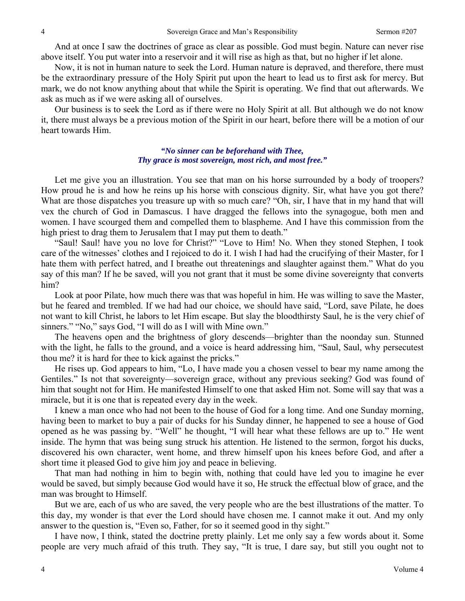And at once I saw the doctrines of grace as clear as possible. God must begin. Nature can never rise above itself. You put water into a reservoir and it will rise as high as that, but no higher if let alone.

Now, it is not in human nature to seek the Lord. Human nature is depraved, and therefore, there must be the extraordinary pressure of the Holy Spirit put upon the heart to lead us to first ask for mercy. But mark, we do not know anything about that while the Spirit is operating. We find that out afterwards. We ask as much as if we were asking all of ourselves.

Our business is to seek the Lord as if there were no Holy Spirit at all. But although we do not know it, there must always be a previous motion of the Spirit in our heart, before there will be a motion of our heart towards Him.

## *"No sinner can be beforehand with Thee, Thy grace is most sovereign, most rich, and most free."*

Let me give you an illustration. You see that man on his horse surrounded by a body of troopers? How proud he is and how he reins up his horse with conscious dignity. Sir, what have you got there? What are those dispatches you treasure up with so much care? "Oh, sir, I have that in my hand that will vex the church of God in Damascus. I have dragged the fellows into the synagogue, both men and women. I have scourged them and compelled them to blaspheme. And I have this commission from the high priest to drag them to Jerusalem that I may put them to death."

"Saul! Saul! have you no love for Christ?" "Love to Him! No. When they stoned Stephen, I took care of the witnesses' clothes and I rejoiced to do it. I wish I had had the crucifying of their Master, for I hate them with perfect hatred, and I breathe out threatenings and slaughter against them." What do you say of this man? If he be saved, will you not grant that it must be some divine sovereignty that converts him?

Look at poor Pilate, how much there was that was hopeful in him. He was willing to save the Master, but he feared and trembled. If we had had our choice, we should have said, "Lord, save Pilate, he does not want to kill Christ, he labors to let Him escape. But slay the bloodthirsty Saul, he is the very chief of sinners." "No," says God, "I will do as I will with Mine own."

The heavens open and the brightness of glory descends—brighter than the noonday sun. Stunned with the light, he falls to the ground, and a voice is heard addressing him, "Saul, Saul, why persecutest thou me? it is hard for thee to kick against the pricks."

He rises up. God appears to him, "Lo, I have made you a chosen vessel to bear my name among the Gentiles." Is not that sovereignty—sovereign grace, without any previous seeking? God was found of him that sought not for Him. He manifested Himself to one that asked Him not. Some will say that was a miracle, but it is one that is repeated every day in the week.

I knew a man once who had not been to the house of God for a long time. And one Sunday morning, having been to market to buy a pair of ducks for his Sunday dinner, he happened to see a house of God opened as he was passing by. "Well" he thought, "I will hear what these fellows are up to." He went inside. The hymn that was being sung struck his attention. He listened to the sermon, forgot his ducks, discovered his own character, went home, and threw himself upon his knees before God, and after a short time it pleased God to give him joy and peace in believing.

That man had nothing in him to begin with, nothing that could have led you to imagine he ever would be saved, but simply because God would have it so, He struck the effectual blow of grace, and the man was brought to Himself.

But we are, each of us who are saved, the very people who are the best illustrations of the matter. To this day, my wonder is that ever the Lord should have chosen me. I cannot make it out. And my only answer to the question is, "Even so, Father, for so it seemed good in thy sight."

I have now, I think, stated the doctrine pretty plainly. Let me only say a few words about it. Some people are very much afraid of this truth. They say, "It is true, I dare say, but still you ought not to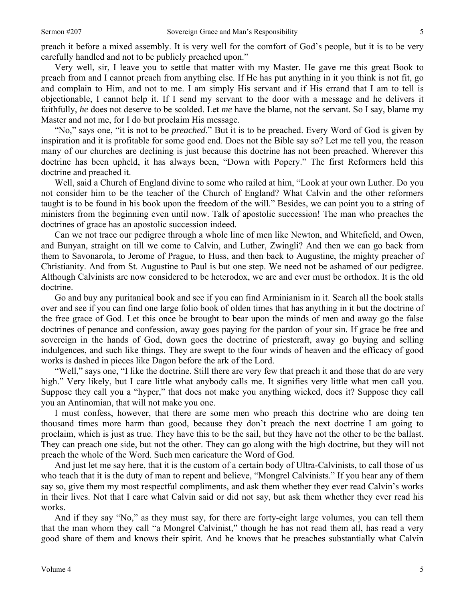preach it before a mixed assembly. It is very well for the comfort of God's people, but it is to be very carefully handled and not to be publicly preached upon."

Very well, sir, I leave you to settle that matter with my Master. He gave me this great Book to preach from and I cannot preach from anything else. If He has put anything in it you think is not fit, go and complain to Him, and not to me. I am simply His servant and if His errand that I am to tell is objectionable, I cannot help it. If I send my servant to the door with a message and he delivers it faithfully, *he* does not deserve to be scolded. Let *me* have the blame, not the servant. So I say, blame my Master and not me, for I do but proclaim His message.

"No," says one, "it is not to be *preached*." But it is to be preached. Every Word of God is given by inspiration and it is profitable for some good end. Does not the Bible say so? Let me tell you, the reason many of our churches are declining is just because this doctrine has not been preached. Wherever this doctrine has been upheld, it has always been, "Down with Popery." The first Reformers held this doctrine and preached it.

Well, said a Church of England divine to some who railed at him, "Look at your own Luther. Do you not consider him to be the teacher of the Church of England? What Calvin and the other reformers taught is to be found in his book upon the freedom of the will." Besides, we can point you to a string of ministers from the beginning even until now. Talk of apostolic succession! The man who preaches the doctrines of grace has an apostolic succession indeed.

Can we not trace our pedigree through a whole line of men like Newton, and Whitefield, and Owen, and Bunyan, straight on till we come to Calvin, and Luther, Zwingli? And then we can go back from them to Savonarola, to Jerome of Prague, to Huss, and then back to Augustine, the mighty preacher of Christianity. And from St. Augustine to Paul is but one step. We need not be ashamed of our pedigree. Although Calvinists are now considered to be heterodox, we are and ever must be orthodox. It is the old doctrine.

Go and buy any puritanical book and see if you can find Arminianism in it. Search all the book stalls over and see if you can find one large folio book of olden times that has anything in it but the doctrine of the free grace of God. Let this once be brought to bear upon the minds of men and away go the false doctrines of penance and confession, away goes paying for the pardon of your sin. If grace be free and sovereign in the hands of God, down goes the doctrine of priestcraft, away go buying and selling indulgences, and such like things. They are swept to the four winds of heaven and the efficacy of good works is dashed in pieces like Dagon before the ark of the Lord.

"Well," says one, "I like the doctrine. Still there are very few that preach it and those that do are very high." Very likely, but I care little what anybody calls me. It signifies very little what men call you. Suppose they call you a "hyper," that does not make you anything wicked, does it? Suppose they call you an Antinomian, that will not make you one.

I must confess, however, that there are some men who preach this doctrine who are doing ten thousand times more harm than good, because they don't preach the next doctrine I am going to proclaim, which is just as true. They have this to be the sail, but they have not the other to be the ballast. They can preach one side, but not the other. They can go along with the high doctrine, but they will not preach the whole of the Word. Such men caricature the Word of God.

And just let me say here, that it is the custom of a certain body of Ultra-Calvinists, to call those of us who teach that it is the duty of man to repent and believe, "Mongrel Calvinists." If you hear any of them say so, give them my most respectful compliments, and ask them whether they ever read Calvin's works in their lives. Not that I care what Calvin said or did not say, but ask them whether they ever read his works.

And if they say "No," as they must say, for there are forty-eight large volumes, you can tell them that the man whom they call "a Mongrel Calvinist," though he has not read them all, has read a very good share of them and knows their spirit. And he knows that he preaches substantially what Calvin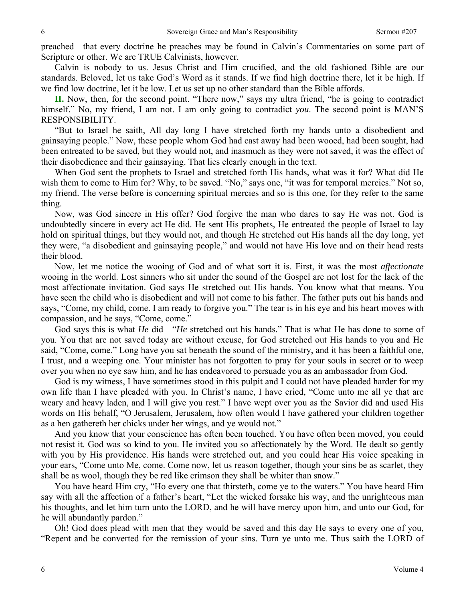preached—that every doctrine he preaches may be found in Calvin's Commentaries on some part of Scripture or other. We are TRUE Calvinists, however.

Calvin is nobody to us. Jesus Christ and Him crucified, and the old fashioned Bible are our standards. Beloved, let us take God's Word as it stands. If we find high doctrine there, let it be high. If we find low doctrine, let it be low. Let us set up no other standard than the Bible affords.

**II.** Now, then, for the second point. "There now," says my ultra friend, "he is going to contradict himself." No, my friend, I am not. I am only going to contradict *you*. The second point is MAN'S RESPONSIBILITY.

"But to Israel he saith, All day long I have stretched forth my hands unto a disobedient and gainsaying people." Now, these people whom God had cast away had been wooed, had been sought, had been entreated to be saved, but they would not, and inasmuch as they were not saved, it was the effect of their disobedience and their gainsaying. That lies clearly enough in the text.

When God sent the prophets to Israel and stretched forth His hands, what was it for? What did He wish them to come to Him for? Why, to be saved. "No," says one, "it was for temporal mercies." Not so, my friend. The verse before is concerning spiritual mercies and so is this one, for they refer to the same thing.

Now, was God sincere in His offer? God forgive the man who dares to say He was not. God is undoubtedly sincere in every act He did. He sent His prophets, He entreated the people of Israel to lay hold on spiritual things, but they would not, and though He stretched out His hands all the day long, yet they were, "a disobedient and gainsaying people," and would not have His love and on their head rests their blood.

Now, let me notice the wooing of God and of what sort it is. First, it was the most *affectionate*  wooing in the world. Lost sinners who sit under the sound of the Gospel are not lost for the lack of the most affectionate invitation. God says He stretched out His hands. You know what that means. You have seen the child who is disobedient and will not come to his father. The father puts out his hands and says, "Come, my child, come. I am ready to forgive you." The tear is in his eye and his heart moves with compassion, and he says, "Come, come."

God says this is what *He* did—"*He* stretched out his hands." That is what He has done to some of you. You that are not saved today are without excuse, for God stretched out His hands to you and He said, "Come, come." Long have you sat beneath the sound of the ministry, and it has been a faithful one, I trust, and a weeping one. Your minister has not forgotten to pray for your souls in secret or to weep over you when no eye saw him, and he has endeavored to persuade you as an ambassador from God.

God is my witness, I have sometimes stood in this pulpit and I could not have pleaded harder for my own life than I have pleaded with you. In Christ's name, I have cried, "Come unto me all ye that are weary and heavy laden, and I will give you rest." I have wept over you as the Savior did and used His words on His behalf, "O Jerusalem, Jerusalem, how often would I have gathered your children together as a hen gathereth her chicks under her wings, and ye would not."

And you know that your conscience has often been touched. You have often been moved, you could not resist it. God was so kind to you. He invited you so affectionately by the Word. He dealt so gently with you by His providence. His hands were stretched out, and you could hear His voice speaking in your ears, "Come unto Me, come. Come now, let us reason together, though your sins be as scarlet, they shall be as wool, though they be red like crimson they shall be whiter than snow."

You have heard Him cry, "Ho every one that thirsteth, come ye to the waters." You have heard Him say with all the affection of a father's heart, "Let the wicked forsake his way, and the unrighteous man his thoughts, and let him turn unto the LORD, and he will have mercy upon him, and unto our God, for he will abundantly pardon."

Oh! God does plead with men that they would be saved and this day He says to every one of you, "Repent and be converted for the remission of your sins. Turn ye unto me. Thus saith the LORD of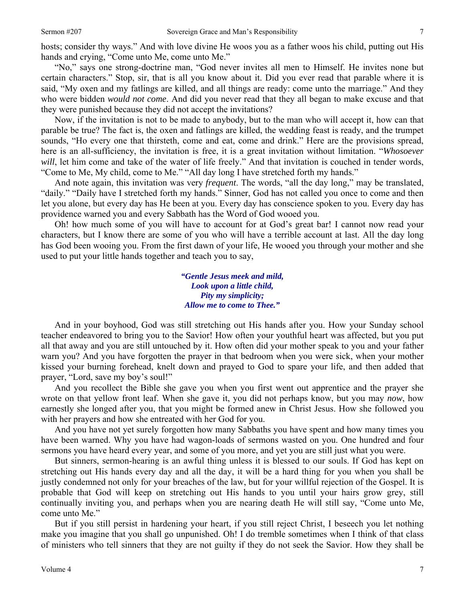7

hosts; consider thy ways." And with love divine He woos you as a father woos his child, putting out His hands and crying, "Come unto Me, come unto Me."

"No," says one strong-doctrine man, "God never invites all men to Himself. He invites none but certain characters." Stop, sir, that is all you know about it. Did you ever read that parable where it is said, "My oxen and my fatlings are killed, and all things are ready: come unto the marriage." And they who were bidden *would not come*. And did you never read that they all began to make excuse and that they were punished because they did not accept the invitations?

Now, if the invitation is not to be made to anybody, but to the man who will accept it, how can that parable be true? The fact is, the oxen and fatlings are killed, the wedding feast is ready, and the trumpet sounds, "Ho every one that thirsteth, come and eat, come and drink." Here are the provisions spread, here is an all-sufficiency, the invitation is free, it is a great invitation without limitation. "*Whosoever will*, let him come and take of the water of life freely." And that invitation is couched in tender words, "Come to Me, My child, come to Me." "All day long I have stretched forth my hands."

And note again, this invitation was very *frequent*. The words, "all the day long," may be translated, "daily." "Daily have I stretched forth my hands." Sinner, God has not called you once to come and then let you alone, but every day has He been at you. Every day has conscience spoken to you. Every day has providence warned you and every Sabbath has the Word of God wooed you.

Oh! how much some of you will have to account for at God's great bar! I cannot now read your characters, but I know there are some of you who will have a terrible account at last. All the day long has God been wooing you. From the first dawn of your life, He wooed you through your mother and she used to put your little hands together and teach you to say,

> *"Gentle Jesus meek and mild, Look upon a little child, Pity my simplicity; Allow me to come to Thee."*

And in your boyhood, God was still stretching out His hands after you. How your Sunday school teacher endeavored to bring you to the Savior! How often your youthful heart was affected, but you put all that away and you are still untouched by it. How often did your mother speak to you and your father warn you? And you have forgotten the prayer in that bedroom when you were sick, when your mother kissed your burning forehead, knelt down and prayed to God to spare your life, and then added that prayer, "Lord, save my boy's soul!"

And you recollect the Bible she gave you when you first went out apprentice and the prayer she wrote on that yellow front leaf. When she gave it, you did not perhaps know, but you may *now*, how earnestly she longed after you, that you might be formed anew in Christ Jesus. How she followed you with her prayers and how she entreated with her God for you.

And you have not yet surely forgotten how many Sabbaths you have spent and how many times you have been warned. Why you have had wagon-loads of sermons wasted on you. One hundred and four sermons you have heard every year, and some of you more, and yet you are still just what you were.

But sinners, sermon-hearing is an awful thing unless it is blessed to our souls. If God has kept on stretching out His hands every day and all the day, it will be a hard thing for you when you shall be justly condemned not only for your breaches of the law, but for your willful rejection of the Gospel. It is probable that God will keep on stretching out His hands to you until your hairs grow grey, still continually inviting you, and perhaps when you are nearing death He will still say, "Come unto Me, come unto Me."

But if you still persist in hardening your heart, if you still reject Christ, I beseech you let nothing make you imagine that you shall go unpunished. Oh! I do tremble sometimes when I think of that class of ministers who tell sinners that they are not guilty if they do not seek the Savior. How they shall be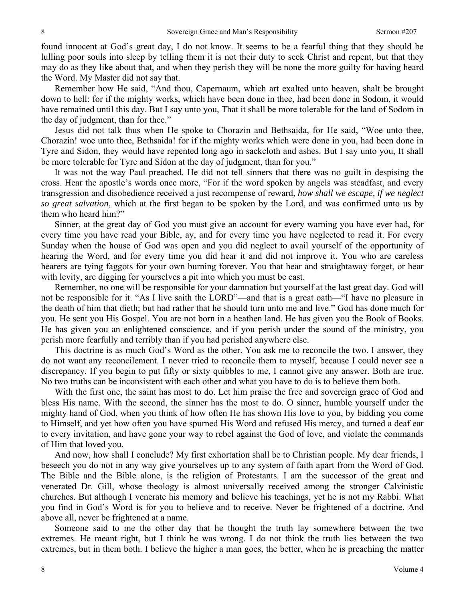found innocent at God's great day, I do not know. It seems to be a fearful thing that they should be lulling poor souls into sleep by telling them it is not their duty to seek Christ and repent, but that they may do as they like about that, and when they perish they will be none the more guilty for having heard the Word. My Master did not say that.

Remember how He said, "And thou, Capernaum, which art exalted unto heaven, shalt be brought down to hell: for if the mighty works, which have been done in thee, had been done in Sodom, it would have remained until this day. But I say unto you, That it shall be more tolerable for the land of Sodom in the day of judgment, than for thee."

Jesus did not talk thus when He spoke to Chorazin and Bethsaida, for He said, "Woe unto thee, Chorazin! woe unto thee, Bethsaida! for if the mighty works which were done in you, had been done in Tyre and Sidon, they would have repented long ago in sackcloth and ashes. But I say unto you, It shall be more tolerable for Tyre and Sidon at the day of judgment, than for you."

It was not the way Paul preached. He did not tell sinners that there was no guilt in despising the cross. Hear the apostle's words once more, "For if the word spoken by angels was steadfast, and every transgression and disobedience received a just recompense of reward, *how shall we escape, if we neglect so great salvation*, which at the first began to be spoken by the Lord, and was confirmed unto us by them who heard him?"

Sinner, at the great day of God you must give an account for every warning you have ever had, for every time you have read your Bible, ay, and for every time you have neglected to read it. For every Sunday when the house of God was open and you did neglect to avail yourself of the opportunity of hearing the Word, and for every time you did hear it and did not improve it. You who are careless hearers are tying faggots for your own burning forever. You that hear and straightaway forget, or hear with levity, are digging for yourselves a pit into which you must be cast.

Remember, no one will be responsible for your damnation but yourself at the last great day. God will not be responsible for it. "As I live saith the LORD"—and that is a great oath—"I have no pleasure in the death of him that dieth; but had rather that he should turn unto me and live." God has done much for you. He sent you His Gospel. You are not born in a heathen land. He has given you the Book of Books. He has given you an enlightened conscience, and if you perish under the sound of the ministry, you perish more fearfully and terribly than if you had perished anywhere else.

This doctrine is as much God's Word as the other. You ask me to reconcile the two. I answer, they do not want any reconcilement. I never tried to reconcile them to myself, because I could never see a discrepancy. If you begin to put fifty or sixty quibbles to me, I cannot give any answer. Both are true. No two truths can be inconsistent with each other and what you have to do is to believe them both.

With the first one, the saint has most to do. Let him praise the free and sovereign grace of God and bless His name. With the second, the sinner has the most to do. O sinner, humble yourself under the mighty hand of God, when you think of how often He has shown His love to you, by bidding you come to Himself, and yet how often you have spurned His Word and refused His mercy, and turned a deaf ear to every invitation, and have gone your way to rebel against the God of love, and violate the commands of Him that loved you.

And now, how shall I conclude? My first exhortation shall be to Christian people. My dear friends, I beseech you do not in any way give yourselves up to any system of faith apart from the Word of God. The Bible and the Bible alone, is the religion of Protestants. I am the successor of the great and venerated Dr. Gill, whose theology is almost universally received among the stronger Calvinistic churches. But although I venerate his memory and believe his teachings, yet he is not my Rabbi. What you find in God's Word is for you to believe and to receive. Never be frightened of a doctrine. And above all, never be frightened at a name.

Someone said to me the other day that he thought the truth lay somewhere between the two extremes. He meant right, but I think he was wrong. I do not think the truth lies between the two extremes, but in them both. I believe the higher a man goes, the better, when he is preaching the matter